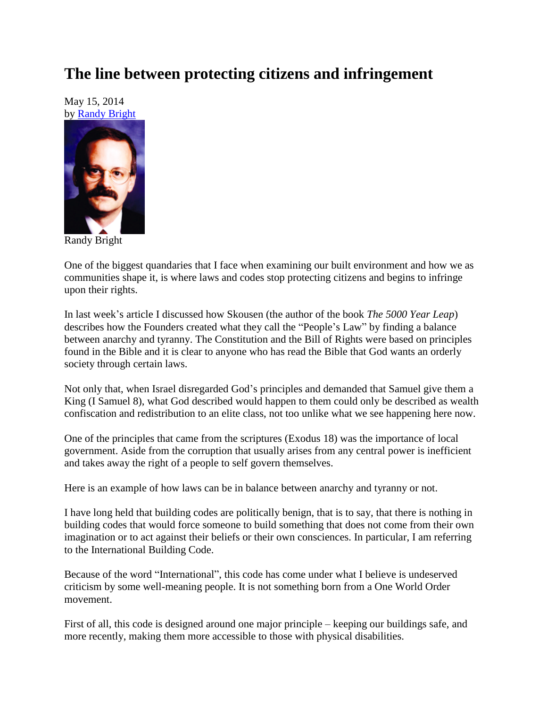## **The line between protecting citizens and infringement**

May 15, 2014 by [Randy Bright](http://tulsabeacon.com/writers/randy-bright/)



Randy Bright

One of the biggest quandaries that I face when examining our built environment and how we as communities shape it, is where laws and codes stop protecting citizens and begins to infringe upon their rights.

In last week's article I discussed how Skousen (the author of the book *The 5000 Year Leap*) describes how the Founders created what they call the "People's Law" by finding a balance between anarchy and tyranny. The Constitution and the Bill of Rights were based on principles found in the Bible and it is clear to anyone who has read the Bible that God wants an orderly society through certain laws.

Not only that, when Israel disregarded God's principles and demanded that Samuel give them a King (I Samuel 8), what God described would happen to them could only be described as wealth confiscation and redistribution to an elite class, not too unlike what we see happening here now.

One of the principles that came from the scriptures (Exodus 18) was the importance of local government. Aside from the corruption that usually arises from any central power is inefficient and takes away the right of a people to self govern themselves.

Here is an example of how laws can be in balance between anarchy and tyranny or not.

I have long held that building codes are politically benign, that is to say, that there is nothing in building codes that would force someone to build something that does not come from their own imagination or to act against their beliefs or their own consciences. In particular, I am referring to the International Building Code.

Because of the word "International", this code has come under what I believe is undeserved criticism by some well-meaning people. It is not something born from a One World Order movement.

First of all, this code is designed around one major principle – keeping our buildings safe, and more recently, making them more accessible to those with physical disabilities.